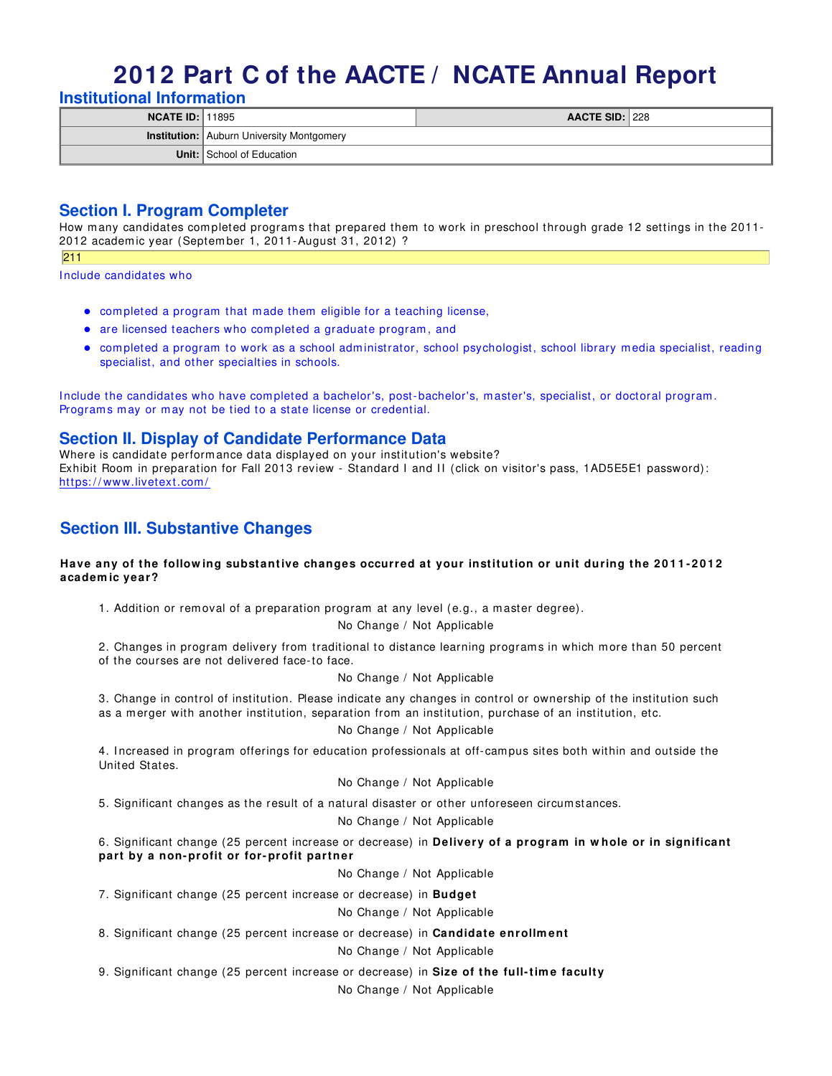# **2012 Part C of the AACTE / NCATE Annual Report**

**Institutional Information**

| <b>NCATE ID: 11895</b> |                                                  | <b>AACTE SID: 228</b> |  |
|------------------------|--------------------------------------------------|-----------------------|--|
|                        | <b>Institution:</b> Auburn University Montgomery |                       |  |
|                        | Unit: School of Education                        |                       |  |

# **Section I. Program Completer**

How many candidates completed programs that prepared them to work in preschool through grade 12 settings in the 2011-2012 academ ic year (Septem ber 1, 2011-August 31, 2012) ?

211

I nclude candidates who

- com pleted a program that m ade them eligible for a teaching license,
- are licensed teachers who completed a graduate program, and
- com pleted a program to work as a school adm inistrator, school psychologist, school library m edia specialist, reading specialist, and other specialties in schools.

Include the candidates who have completed a bachelor's, post-bachelor's, master's, specialist, or doctoral program. Programs may or may not be tied to a state license or credential.

## **Section II. Display of Candidate Performance Data**

Where is candidate perform ance data displayed on your institution's website? Exhibit Room in preparation for Fall 2013 review - Standard I and II (click on visitor's pass, 1AD5E5E1 password): https://www.livetext.com/

# **Section III. Substantive Changes**

#### Have any of the following substantive changes occurred at your institution or unit during the 2011-2012 **academ ic year?**

1. Addition or removal of a preparation program at any level (e.g., a master degree).

No Change / Not Applicable

2. Changes in program delivery from traditional to distance learning program s in which m ore than 50 percent of the courses are not delivered face-to face.

#### No Change / Not Applicable

3. Change in control of institution. Please indicate any changes in control or ownership of the institution such as a merger with another institution, separation from an institution, purchase of an institution, etc.

#### No Change / Not Applicable

4. Increased in program offerings for education professionals at off-campus sites both within and outside the United States.

#### No Change / Not Applicable

5. Significant changes as the result of a natural disaster or other unforeseen circum stances.

#### No Change / Not Applicable

6. Significant change (25 percent increase or decrease) in **Delivery of a program in w hole or in significant part by a non- profit or for- profit partner**

No Change / Not Applicable

7. Significant change (25 percent increase or decrease) in **Budget**

#### No Change / Not Applicable

8. Significant change (25 percent increase or decrease) in **Candidate enrollm ent**

#### No Change / Not Applicable

9. Significant change (25 percent increase or decrease) in **Size of the full- tim e faculty**

No Change / Not Applicable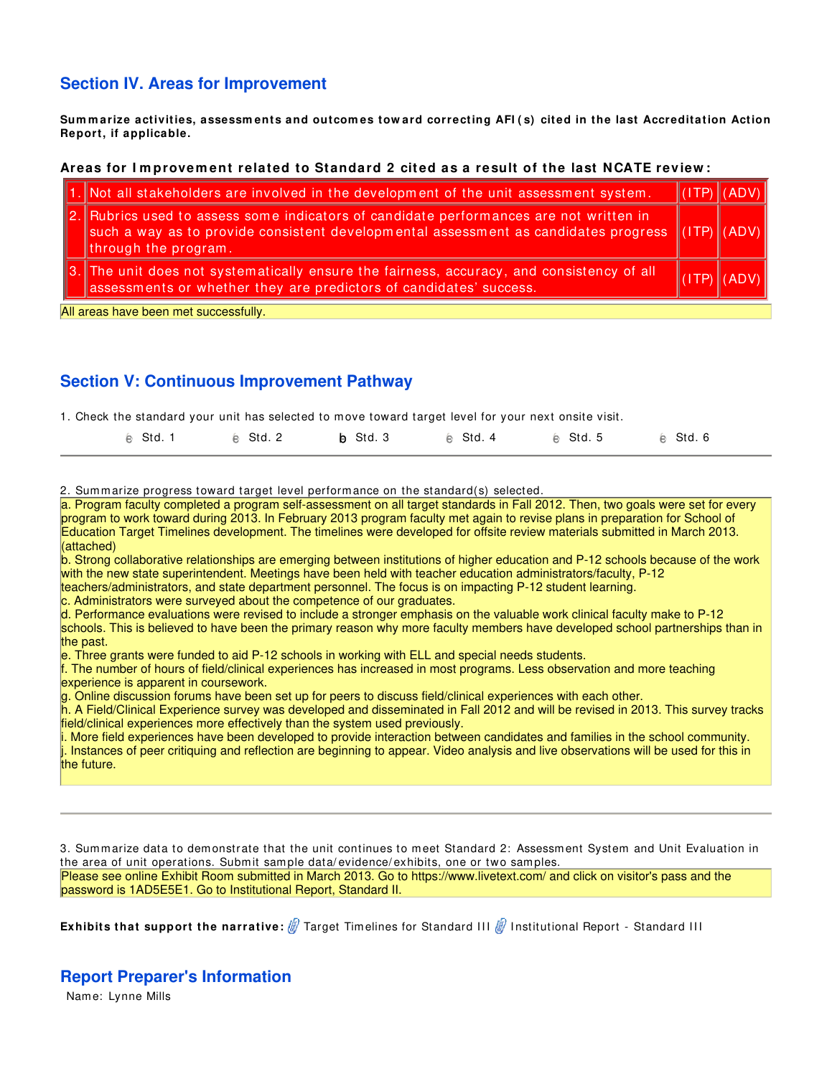# **Section IV. Areas for Improvement**

Summarize activities, assessments and outcomes toward correcting AFI (s) cited in the last Accreditation Action **Report, if applicable.**

#### **Areas for I m provem ent related to Standard 2 cit ed as a result of the last NCATE review :**

|                                                                                                                           | $\ 1.$ Not all stakeholders are involved in the development of the unit assessment system.                                                                                                                                            |  | $\Vert$ (ITP) $\Vert$ (ADV) $\Vert$ |  |  |  |
|---------------------------------------------------------------------------------------------------------------------------|---------------------------------------------------------------------------------------------------------------------------------------------------------------------------------------------------------------------------------------|--|-------------------------------------|--|--|--|
|                                                                                                                           | $\ $ 2. Rubrics used to assess some indicators of candidate performances are not written in<br>such a way as to provide consistent developmental assessment as candidates progress $\ $ (ITP) $\ $ (ADV) $\ $<br>through the program. |  |                                     |  |  |  |
|                                                                                                                           | 3. The unit does not systematically ensure the fairness, accuracy, and consistency of all<br>assessments or whether they are predictors of candidates' success.                                                                       |  | ADV)                                |  |  |  |
| .<br>.<br>the contract of the contract of the contract of the contract of the contract of the contract of the contract of |                                                                                                                                                                                                                                       |  |                                     |  |  |  |

All areas have been met successfully.

# **Section V: Continuous Improvement Pathway**

1. Check the standard your unit has selected to m ove toward target level for your next onsite visit.

| e Std. 1 | e Std. 2 | b Std. 3 | e Std. 4 | e Std. 5 | e Std.6 |
|----------|----------|----------|----------|----------|---------|
|          |          |          |          |          |         |

2. Summarize progress toward target level performance on the standard(s) selected.

a. Program faculty completed a program self-assessment on all target standards in Fall 2012. Then, two goals were set for every program to work toward during 2013. In February 2013 program faculty met again to revise plans in preparation for School of Education Target Timelines development. The timelines were developed for offsite review materials submitted in March 2013. (attached)

b. Strong collaborative relationships are emerging between institutions of higher education and P-12 schools because of the work with the new state superintendent. Meetings have been held with teacher education administrators/faculty, P-12

teachers/administrators, and state department personnel. The focus is on impacting P-12 student learning.

c. Administrators were surveyed about the competence of our graduates.

d. Performance evaluations were revised to include a stronger emphasis on the valuable work clinical faculty make to P-12 schools. This is believed to have been the primary reason why more faculty members have developed school partnerships than in the past.

e. Three grants were funded to aid P-12 schools in working with ELL and special needs students.

f. The number of hours of field/clinical experiences has increased in most programs. Less observation and more teaching experience is apparent in coursework.

g. Online discussion forums have been set up for peers to discuss field/clinical experiences with each other.

h. A Field/Clinical Experience survey was developed and disseminated in Fall 2012 and will be revised in 2013. This survey tracks field/clinical experiences more effectively than the system used previously.

i. More field experiences have been developed to provide interaction between candidates and families in the school community. j. Instances of peer critiquing and reflection are beginning to appear. Video analysis and live observations will be used for this in the future.

3. Sum m arize data to dem onstrate that the unit continues to m eet Standard 2: Assessm ent System and Unit Evaluation in the area of unit operations. Submit sample data/evidence/exhibits, one or two samples. Please see online Exhibit Room submitted in March 2013. Go to https://www.livetext.com/ and click on visitor's pass and the password is 1AD5E5E1. Go to Institutional Report, Standard II.

**Exhibits that support the narrative:**  $\#$  Target Timelines for Standard III  $\#$  Institutional Report - Standard III

## **Report Preparer's Information**

Nam e: Lynne Mills